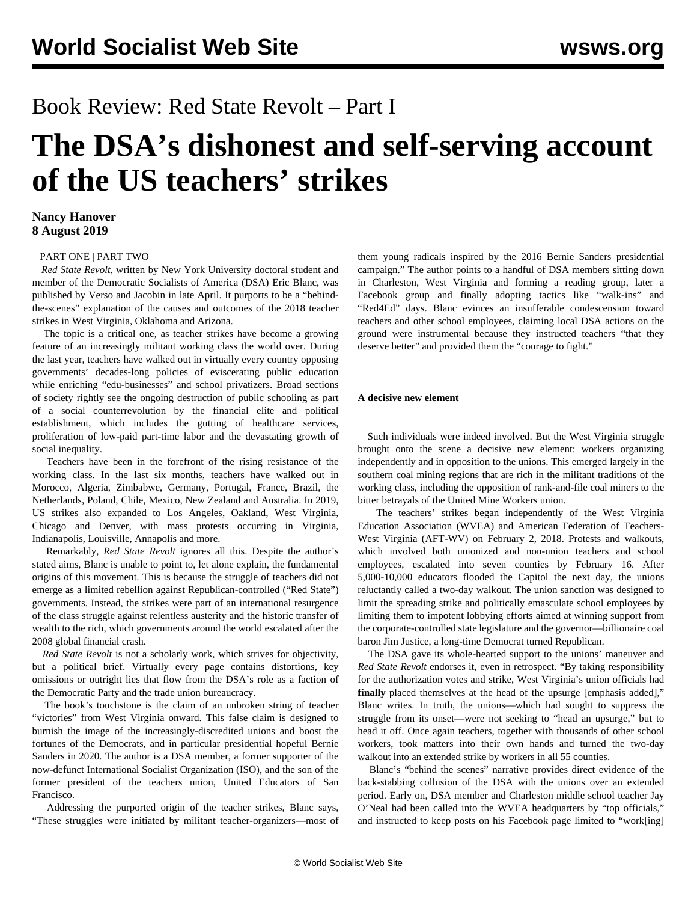# Book Review: Red State Revolt – Part I

# **The DSA's dishonest and self-serving account of the US teachers' strikes**

## **Nancy Hanover 8 August 2019**

#### [PART ONE](/en/articles/2019/08/08/reds-a08.html) | [PART TWO](/en/articles/2019/08/10/red2-a10.html)

 *Red State Revolt*, written by New York University doctoral student and member of the Democratic Socialists of America (DSA) Eric Blanc, was published by Verso and Jacobin in late April. It purports to be a "behindthe-scenes" explanation of the causes and outcomes of the 2018 teacher strikes in West Virginia, Oklahoma and Arizona.

 The topic is a critical one, as teacher strikes have become a growing feature of an increasingly militant working class the world over. During the last year, teachers have walked out in virtually every country opposing governments' decades-long policies of eviscerating public education while enriching "edu-businesses" and school privatizers. Broad sections of society rightly see the ongoing destruction of public schooling as part of a social counterrevolution by the financial elite and political establishment, which includes the gutting of healthcare services, proliferation of low-paid part-time labor and the devastating growth of social inequality.

 Teachers have been in the forefront of the rising resistance of the working class. In the last six months, teachers have walked out in Morocco, Algeria, Zimbabwe, Germany, Portugal, France, Brazil, the Netherlands, Poland, Chile, Mexico, New Zealand and Australia. In 2019, US strikes also expanded to Los Angeles, Oakland, West Virginia, Chicago and Denver, with mass protests occurring in Virginia, Indianapolis, Louisville, Annapolis and more.

 Remarkably, *Red State Revolt* ignores all this. Despite the author's stated aims, Blanc is unable to point to, let alone explain, the fundamental origins of this movement. This is because the struggle of teachers did not emerge as a limited rebellion against Republican-controlled ("Red State") governments. Instead, the strikes were part of an international resurgence of the class struggle against relentless austerity and the historic transfer of wealth to the rich, which governments around the world escalated after the 2008 global financial crash.

 *Red State Revolt* is not a scholarly work, which strives for objectivity, but a political brief. Virtually every page contains distortions, key omissions or outright lies that flow from the DSA's role as a faction of the Democratic Party and the trade union bureaucracy.

 The book's touchstone is the claim of an unbroken string of teacher "victories" from West Virginia onward. This false claim is designed to burnish the image of the increasingly-discredited unions and boost the fortunes of the Democrats, and in particular presidential hopeful Bernie Sanders in 2020. The author is a DSA member, a former supporter of the now-defunct [International Socialist Organization \(ISO\)](/en/articles/2019/04/02/inte-a02.html), and the son of the former president of the teachers union, United Educators of San Francisco.

 Addressing the purported origin of the teacher strikes, Blanc says, "These struggles were initiated by militant teacher-organizers—most of them young radicals inspired by the 2016 Bernie Sanders presidential campaign." The author points to a handful of DSA members sitting down in Charleston, West Virginia and forming a reading group, later a Facebook group and finally adopting tactics like "walk-ins" and "Red4Ed" days. Blanc evinces an insufferable condescension toward teachers and other school employees, claiming local DSA actions on the ground were instrumental because they instructed teachers "that they deserve better" and provided them the "courage to fight."

### **A decisive new element**

 Such individuals were indeed involved. But the West Virginia struggle brought onto the scene a decisive new element: workers organizing independently and in opposition to the unions. This emerged largely in the southern coal mining regions that are rich in the militant traditions of the working class, including the opposition of rank-and-file coal miners to the bitter betrayals of the United Mine Workers union.

 The teachers' [strikes began](/en/articles/2018/02/03/teac-f03.htmld) independently of the West Virginia Education Association (WVEA) and American Federation of Teachers-West Virginia (AFT-WV) on February 2, 2018. Protests and walkouts, which involved both unionized and non-union teachers and school employees, escalated into seven counties by February 16. After 5,000-10,000 educators [flooded](/en/articles/2018/02/17/wvir-f17.html) the Capitol the next day, the unions reluctantly called a two-day walkout. The union sanction was designed to limit the spreading strike and politically emasculate school employees by limiting them to impotent lobbying efforts aimed at winning support from the corporate-controlled state legislature and the governor—billionaire coal baron Jim Justice, a long-time Democrat turned Republican.

 The DSA gave its whole-hearted support to the unions' maneuver and *Red State Revolt* endorses it, even in retrospect. "By taking responsibility for the authorization votes and strike, West Virginia's union officials had **finally** placed themselves at the head of the upsurge [emphasis added]," Blanc writes. In truth, the unions—which had sought to suppress the struggle from its onset—were not seeking to "head an upsurge," but to head it off. Once again teachers, together with thousands of other school workers, took matters into their own hands and turned the two-day walkout into an extended strike by workers in all 55 counties.

 Blanc's "behind the scenes" narrative provides direct evidence of the back-stabbing collusion of the DSA with the unions over an extended period. Early on, DSA member and Charleston middle school teacher Jay O'Neal had been called into the WVEA headquarters by "top officials," and instructed to keep posts on his Facebook page limited to "work[ing]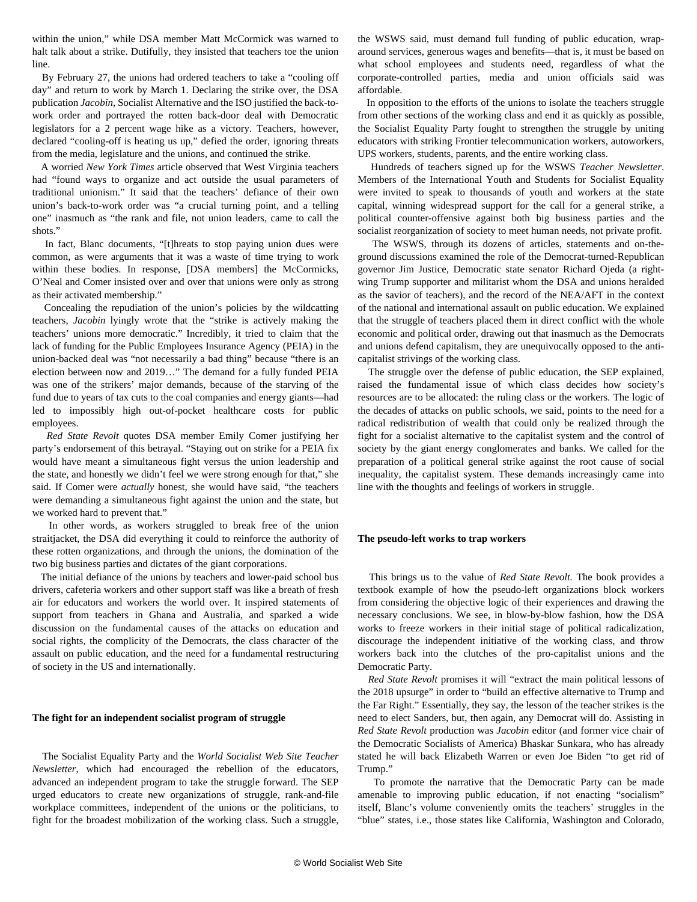within the union," while DSA member Matt McCormick was warned to halt talk about a strike. Dutifully, they insisted that teachers toe the union line.

 By February 27, the unions had ordered teachers to take a "cooling off day" and return to work by March 1. Declaring the strike over, the DSA publication *Jacobin,* Socialist Alternative and the ISO justified the back-towork order and portrayed the rotten back-door deal with Democratic legislators for a 2 percent wage hike as a victory. Teachers, however, declared "cooling-off is heating us up," defied the order, ignoring threats from the media, legislature and the unions, and continued the strike.

 A worried *New York Times* article observed that West Virginia teachers had "found ways to organize and act outside the usual parameters of traditional unionism." It said that the teachers' defiance of their own union's back-to-work order was "a crucial turning point, and a telling one" inasmuch as "the rank and file, not union leaders, came to call the shots."

 In fact, Blanc documents, "[t]hreats to stop paying union dues were common, as were arguments that it was a waste of time trying to work within these bodies. In response, [DSA members] the McCormicks, O'Neal and Comer insisted over and over that unions were only as strong as their activated membership."

 Concealing the repudiation of the union's policies by the wildcatting teachers, *Jacobin* lyingly wrote that the "strike is actively making the teachers' unions more democratic." Incredibly, it tried to claim that the lack of funding for the Public Employees Insurance Agency (PEIA) in the union-backed deal was "not necessarily a bad thing" because "there is an election between now and 2019…" The demand for a fully funded PEIA was one of the strikers' major demands, because of the starving of the fund due to years of tax cuts to the coal companies and energy giants—had led to impossibly high out-of-pocket healthcare costs for public employees.

 *Red State Revolt* quotes DSA member Emily Comer justifying her party's endorsement of this betrayal. "Staying out on strike for a PEIA fix would have meant a simultaneous fight versus the union leadership and the state, and honestly we didn't feel we were strong enough for that," she said. If Comer were *actually* honest, she would have said, "the teachers were demanding a simultaneous fight against the union and the state, but we worked hard to prevent that."

 In other words, as workers struggled to break free of the union straitjacket, the DSA did everything it could to reinforce the authority of these rotten organizations, and through the unions, the domination of the two big business parties and dictates of the giant corporations.

 The initial defiance of the unions by teachers and lower-paid school bus drivers, cafeteria workers and other support staff was like a breath of fresh air for educators and workers the world over. It inspired statements of support from teachers in Ghana and Australia, and sparked a wide discussion on the fundamental causes of the attacks on education and social rights, the complicity of the Democrats, the class character of the assault on public education, and the need for a fundamental restructuring of society in the US and internationally.

#### **The fight for an independent socialist program of struggle**

 The Socialist Equality Party and the *World Socialist Web Site Teacher Newsletter*, which had encouraged the rebellion of the educators, advanced [an independent program](/en/articles/2018/02/16/west-f16.html) to take the struggle forward. The SEP urged educators to create new organizations of struggle, rank-and-file workplace committees, independent of the unions or the politicians, to fight for the broadest mobilization of the working class. Such a struggle, the WSWS said, must demand full funding of public education, wraparound services, generous wages and benefits—that is, it must be based on what school employees and students need, regardless of what the corporate-controlled parties, media and union officials said was affordable.

 In opposition to the efforts of the unions to isolate the teachers struggle from other sections of the working class and end it as quickly as possible, the Socialist Equality Party fought to strengthen the struggle by uniting educators with striking [Frontier telecommunication workers](/en/articles/2018/03/03/west-m04.html), autoworkers, UPS workers, students, parents, and the entire working class.

 Hundreds of teachers signed up for the WSWS *Teacher Newsletter*. Members of the International Youth and Students for Socialist Equality were [invited to speak](https://www.facebook.com/wsws.org/videos/10156408155764684/) to thousands of youth and workers at the state capital, winning widespread support for the call for a general strike, a political counter-offensive against both big business parties and the socialist reorganization of society to meet human needs, not private profit.

 The WSWS, through its dozens of articles, statements and on-theground discussions examined the role of the Democrat-turned-Republican governor Jim Justice, Democratic state senator [Richard Ojeda](/en/articles/2018/03/05/ojed-m05.html) (a rightwing Trump supporter and militarist whom the DSA and unions heralded as the savior of teachers), and the record of the NEA/AFT in the context of the national and international assault on public education. We explained that the struggle of teachers placed them in direct conflict with the whole economic and political order, drawing out that inasmuch as the Democrats and unions defend capitalism, they are unequivocally opposed to the anticapitalist strivings of the working class.

 The struggle over the defense of public education, the SEP explained, raised the fundamental issue of which class decides how society's resources are to be allocated: the ruling class or the workers. The logic of the decades of attacks on public schools, we said, points to the need for a radical redistribution of wealth that could only be realized through the fight for a socialist alternative to the capitalist system and the control of society by the giant energy conglomerates and banks. We called for the preparation of a political general strike against the root cause of social inequality, the capitalist system. These demands increasingly came into line with the thoughts and feelings of workers in struggle.

#### **The pseudo-left works to trap workers**

 This brings us to the value of *Red State Revolt.* The book provides a textbook example of how the pseudo-left organizations block workers from considering the objective logic of their experiences and drawing the necessary conclusions. We see, in blow-by-blow fashion, how the DSA works to freeze workers in their initial stage of political radicalization, discourage the independent initiative of the working class, and throw workers back into the clutches of the pro-capitalist unions and the Democratic Party.

 *Red State Revolt* promises it will "extract the main political lessons of the 2018 upsurge" in order to "build an effective alternative to Trump and the Far Right." Essentially, they say, the lesson of the teacher strikes is the need to elect Sanders, but, then again, any Democrat will do. Assisting in *Red State Revolt* production was *Jacobin* editor (and former vice chair of the Democratic Socialists of America) Bhaskar Sunkara, who has already stated he will back Elizabeth Warren or [even Joe Biden "to get rid of](/en/articles/2019/05/31/pers-m31.html) [Trump."](/en/articles/2019/05/31/pers-m31.html)

 To promote the narrative that the Democratic Party can be made amenable to improving public education, if not enacting "socialism" itself, Blanc's volume conveniently omits the teachers' struggles in the "blue" states, i.e., those states like California, Washington and Colorado,